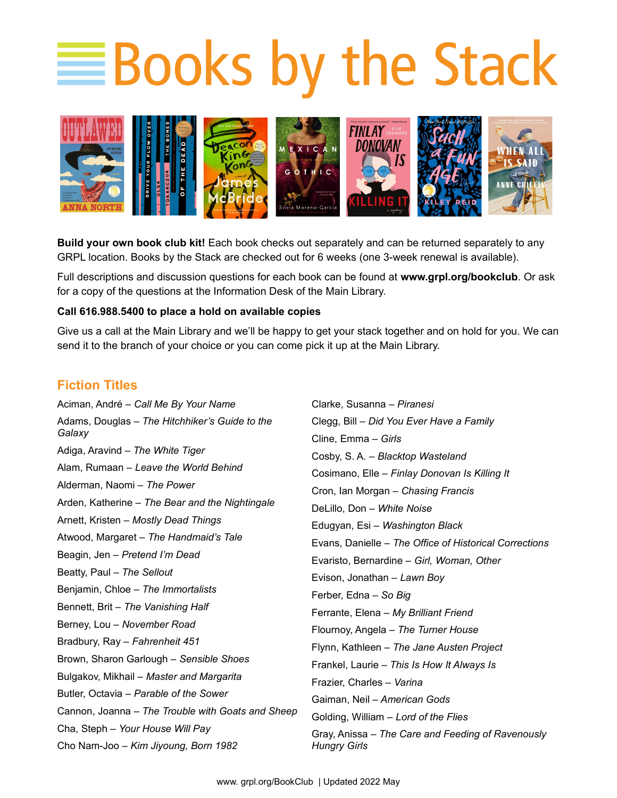## **EBooks by the Stack**



**Build your own book club kit!** Each book checks out separately and can be returned separately to any GRPL location. Books by the Stack are checked out for 6 weeks (one 3-week renewal is available).

Full descriptions and discussion questions for each book can be found at **www.grpl.org/bookclub**. Or ask for a copy of the questions at the Information Desk of the Main Library.

## **Call 616.988.5400 to place a hold on available copies**

Give us a call at the Main Library and we'll be happy to get your stack together and on hold for you. We can send it to the branch of your choice or you can come pick it up at the Main Library.

## **Fiction Titles**

Aciman, André – *Call Me By Your Name* Adams, Douglas – *The Hitchhiker's Guide to the Galaxy* Adiga, Aravind – *The White Tiger* Alam, Rumaan – *Leave the World Behind* Alderman, Naomi – *The Power* Arden, Katherine – *The Bear and the Nightingale* Arnett, Kristen – *Mostly Dead Things* Atwood, Margaret – *The Handmaid's Tale* Beagin, Jen – *Pretend I'm Dead* Beatty, Paul – *The Sellout* Benjamin, Chloe – *The Immortalists* Bennett, Brit – *The Vanishing Half* Berney, Lou – *November Road*  Bradbury, Ray – *Fahrenheit 451* Brown, Sharon Garlough – *Sensible Shoes* Bulgakov, Mikhail – *Master and Margarita* Butler, Octavia – *Parable of the Sower* Cannon, Joanna – *The Trouble with Goats and Sheep* Cha, Steph – *Your House Will Pay* Cho Nam-Joo – *Kim Jiyoung, Born 1982*

Clarke, Susanna – *Piranesi* Clegg, Bill – *Did You Ever Have a Family* Cline, Emma – *Girls* Cosby, S. A. – *Blacktop Wasteland* Cosimano, Elle – *Finlay Donovan Is Killing It* Cron, Ian Morgan – *Chasing Francis* DeLillo, Don – *White Noise* Edugyan, Esi – *Washington Black* Evans, Danielle – *The Office of Historical Corrections* Evaristo, Bernardine – *Girl, Woman, Other* Evison, Jonathan – *Lawn Boy* Ferber, Edna – *So Big* Ferrante, Elena – *My Brilliant Friend* Flournoy, Angela – *The Turner House* Flynn, Kathleen – *The Jane Austen Project* Frankel, Laurie – *This Is How It Always Is* Frazier, Charles – *Varina* Gaiman, Neil – *American Gods* Golding, William – *Lord of the Flies* Gray, Anissa – *The Care and Feeding of Ravenously Hungry Girls*